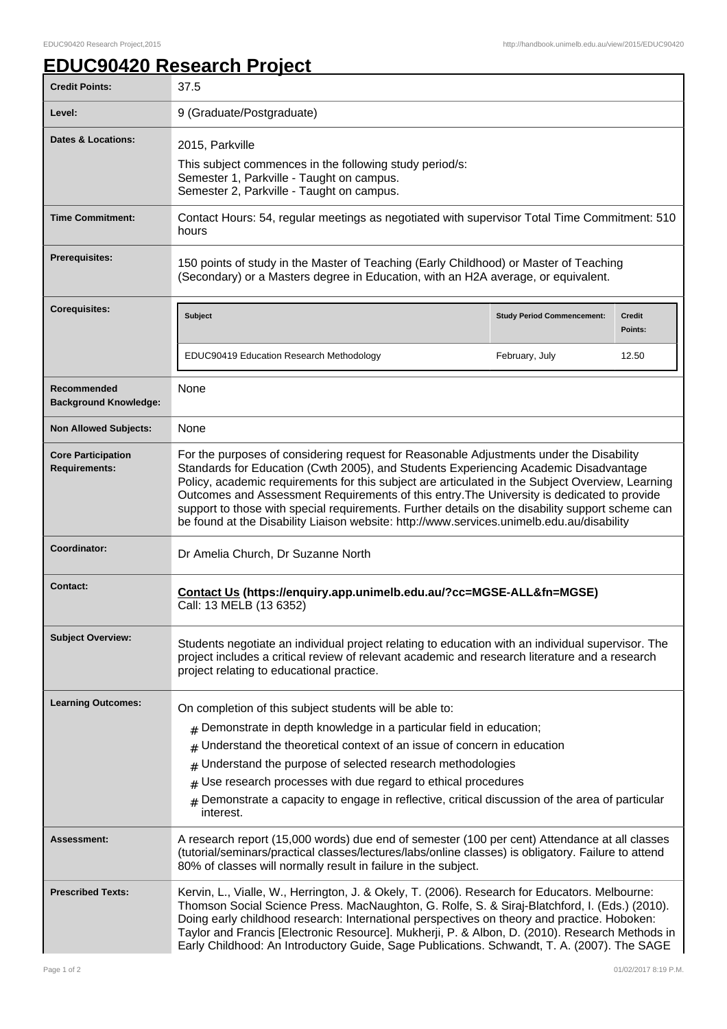## **EDUC90420 Research Project**

| <b>Credit Points:</b>                             | 37.5                                                                                                                                                                                                                                                                                                                                                                                                                                                                                                                                                                               |                                   |                          |
|---------------------------------------------------|------------------------------------------------------------------------------------------------------------------------------------------------------------------------------------------------------------------------------------------------------------------------------------------------------------------------------------------------------------------------------------------------------------------------------------------------------------------------------------------------------------------------------------------------------------------------------------|-----------------------------------|--------------------------|
| Level:                                            | 9 (Graduate/Postgraduate)                                                                                                                                                                                                                                                                                                                                                                                                                                                                                                                                                          |                                   |                          |
| <b>Dates &amp; Locations:</b>                     | 2015, Parkville<br>This subject commences in the following study period/s:<br>Semester 1, Parkville - Taught on campus.<br>Semester 2, Parkville - Taught on campus.                                                                                                                                                                                                                                                                                                                                                                                                               |                                   |                          |
| <b>Time Commitment:</b>                           | Contact Hours: 54, regular meetings as negotiated with supervisor Total Time Commitment: 510<br>hours                                                                                                                                                                                                                                                                                                                                                                                                                                                                              |                                   |                          |
| <b>Prerequisites:</b>                             | 150 points of study in the Master of Teaching (Early Childhood) or Master of Teaching<br>(Secondary) or a Masters degree in Education, with an H2A average, or equivalent.                                                                                                                                                                                                                                                                                                                                                                                                         |                                   |                          |
| <b>Corequisites:</b>                              | <b>Subject</b>                                                                                                                                                                                                                                                                                                                                                                                                                                                                                                                                                                     | <b>Study Period Commencement:</b> | <b>Credit</b><br>Points: |
|                                                   | EDUC90419 Education Research Methodology                                                                                                                                                                                                                                                                                                                                                                                                                                                                                                                                           | February, July                    | 12.50                    |
| Recommended<br><b>Background Knowledge:</b>       | None                                                                                                                                                                                                                                                                                                                                                                                                                                                                                                                                                                               |                                   |                          |
| <b>Non Allowed Subjects:</b>                      | None                                                                                                                                                                                                                                                                                                                                                                                                                                                                                                                                                                               |                                   |                          |
| <b>Core Participation</b><br><b>Requirements:</b> | For the purposes of considering request for Reasonable Adjustments under the Disability<br>Standards for Education (Cwth 2005), and Students Experiencing Academic Disadvantage<br>Policy, academic requirements for this subject are articulated in the Subject Overview, Learning<br>Outcomes and Assessment Requirements of this entry. The University is dedicated to provide<br>support to those with special requirements. Further details on the disability support scheme can<br>be found at the Disability Liaison website: http://www.services.unimelb.edu.au/disability |                                   |                          |
| Coordinator:                                      | Dr Amelia Church, Dr Suzanne North                                                                                                                                                                                                                                                                                                                                                                                                                                                                                                                                                 |                                   |                          |
| <b>Contact:</b>                                   | Contact Us (https://enquiry.app.unimelb.edu.au/?cc=MGSE-ALL&fn=MGSE)<br>Call: 13 MELB (13 6352)                                                                                                                                                                                                                                                                                                                                                                                                                                                                                    |                                   |                          |
| <b>Subject Overview:</b>                          | Students negotiate an individual project relating to education with an individual supervisor. The<br>project includes a critical review of relevant academic and research literature and a research<br>project relating to educational practice.                                                                                                                                                                                                                                                                                                                                   |                                   |                          |
| <b>Learning Outcomes:</b>                         | On completion of this subject students will be able to:<br>Demonstrate in depth knowledge in a particular field in education;<br>#<br>Understand the theoretical context of an issue of concern in education<br>#<br>Understand the purpose of selected research methodologies<br>#<br>Use research processes with due regard to ethical procedures<br>$\#$<br>Demonstrate a capacity to engage in reflective, critical discussion of the area of particular<br>#<br>interest.                                                                                                     |                                   |                          |
| <b>Assessment:</b>                                | A research report (15,000 words) due end of semester (100 per cent) Attendance at all classes<br>(tutorial/seminars/practical classes/lectures/labs/online classes) is obligatory. Failure to attend<br>80% of classes will normally result in failure in the subject.                                                                                                                                                                                                                                                                                                             |                                   |                          |
| <b>Prescribed Texts:</b>                          | Kervin, L., Vialle, W., Herrington, J. & Okely, T. (2006). Research for Educators. Melbourne:<br>Thomson Social Science Press. MacNaughton, G. Rolfe, S. & Siraj-Blatchford, I. (Eds.) (2010).<br>Doing early childhood research: International perspectives on theory and practice. Hoboken:<br>Taylor and Francis [Electronic Resource]. Mukherji, P. & Albon, D. (2010). Research Methods in<br>Early Childhood: An Introductory Guide, Sage Publications. Schwandt, T. A. (2007). The SAGE                                                                                     |                                   |                          |